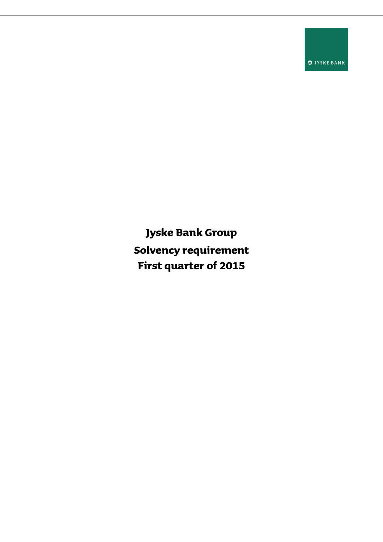**S** JYSKE BANK

**Jyske Bank Group Solvency requirement First quarter of 2015**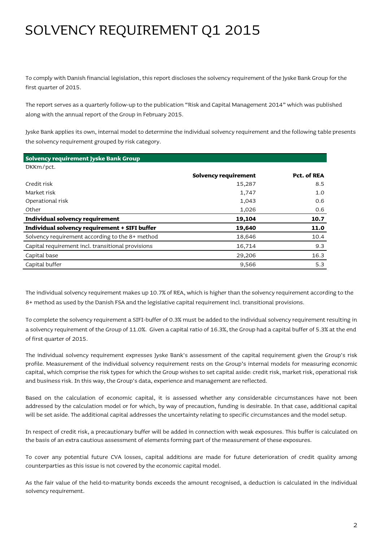## SOLVENCY REQUIREMENT Q1 2015

To comply with Danish financial legislation, this report discloses the solvency requirement of the Jyske Bank Group for the first quarter of 2015.

The report serves as a quarterly follow-up to the publication "Risk and Capital Management 2014" which was published along with the annual report of the Group in February 2015.

Jyske Bank applies its own, internal model to determine the individual solvency requirement and the following table presents the solvency requirement grouped by risk category.

| Solvency requirement Jyske Bank Group             |                      |             |
|---------------------------------------------------|----------------------|-------------|
| DKKm/pct.                                         |                      |             |
|                                                   | Solvency requirement | Pct. of REA |
| Credit risk                                       | 15,287               | 8.5         |
| Market risk                                       | 1,747                | 1.0         |
| Operational risk                                  | 1,043                | 0.6         |
| Other                                             | 1,026                | 0.6         |
| Individual solvency requirement                   | 19,104               | 10.7        |
| Individual solvency requirement + SIFI buffer     | 19,640               | 11.0        |
| Solvency requirement according to the 8+ method   | 18,646               | 10.4        |
| Capital requirement incl. transitional provisions | 16,714               | 9.3         |
| Capital base                                      | 29,206               | 16.3        |
| Capital buffer                                    | 9,566                | 5.3         |

The individual solvency requirement makes up 10.7% of REA, which is higher than the solvency requirement according to the 8+ method as used by the Danish FSA and the legislative capital requirement incl. transitional provisions.

To complete the solvency requirement a SIFI-buffer of 0.3% must be added to the individual solvency requirement resulting in a solvency requirement of the Group of 11.0%. Given a capital ratio of 16.3%, the Group had a capital buffer of 5.3% at the end of first quarter of 2015.

The individual solvency requirement expresses Jyske Bank's assessment of the capital requirement given the Group's risk profile. Measurement of the individual solvency requirement rests on the Group's internal models for measuring economic capital, which comprise the risk types for which the Group wishes to set capital aside: credit risk, market risk, operational risk and business risk. In this way, the Group's data, experience and management are reflected.

Based on the calculation of economic capital, it is assessed whether any considerable circumstances have not been addressed by the calculation model or for which, by way of precaution, funding is desirable. In that case, additional capital will be set aside. The additional capital addresses the uncertainty relating to specific circumstances and the model setup.

In respect of credit risk, a precautionary buffer will be added in connection with weak exposures. This buffer is calculated on the basis of an extra cautious assessment of elements forming part of the measurement of these exposures.

To cover any potential future CVA losses, capital additions are made for future deterioration of credit quality among counterparties as this issue is not covered by the economic capital model.

As the fair value of the held-to-maturity bonds exceeds the amount recognised, a deduction is calculated in the individual solvency requirement.